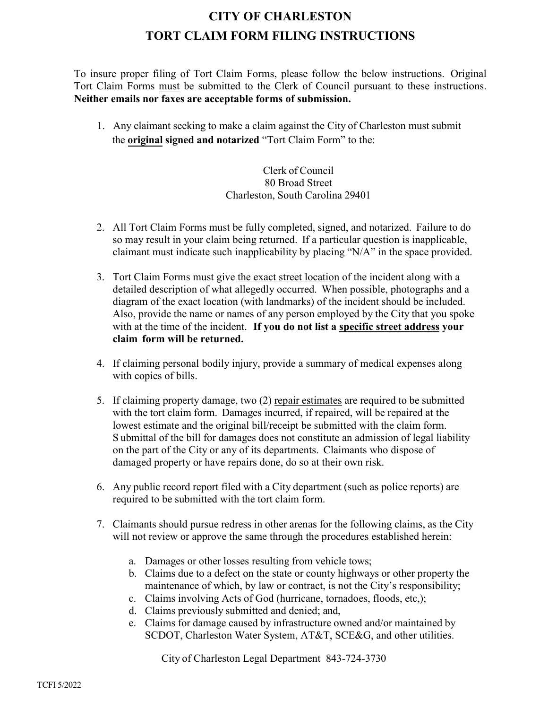## **CITY OF CHARLESTON TORT CLAIM FORM FILING INSTRUCTIONS**

To insure proper filing of Tort Claim Forms, please follow the below instructions. Original Tort Claim Forms must be submitted to the Clerk of Council pursuant to these instructions. **Neither emails nor faxes are acceptable forms of submission.** 

1. Any claimant seeking to make a claim against the City of Charleston must submit the **original signed and notarized** "Tort Claim Form" to the:

> Clerk of Council 80 Broad Street Charleston, South Carolina 29401

- 2. All Tort Claim Forms must be fully completed, signed, and notarized. Failure to do so may result in your claim being returned. If a particular question is inapplicable, claimant must indicate such inapplicability by placing " $N/A$ " in the space provided.
- 3. Tort Claim Forms must give the exact street location of the incident along with a detailed description of what allegedly occurred. When possible, photographs and a diagram of the exact location (with landmarks) of the incident should be included. Also, provide the name or names of any person employed by the City that you spoke with at the time of the incident. **If you do not list a specific street address your claim form will be returned.**
- 4. If claiming personal bodily injury, provide a summary of medical expenses along with copies of bills.
- 5. If claiming property damage, two (2) repair estimates are required to be submitted with the tort claim form. Damages incurred, if repaired, will be repaired at the lowest estimate and the original bill/receipt be submitted with the claim form. S ubmittal of the bill for damages does not constitute an admission of legal liability on the part of the City or any of its departments. Claimants who dispose of damaged property or have repairs done, do so at their own risk.
- 6. Any public record report filed with a City department (such as police reports) are required to be submitted with the tort claim form.
- 7. Claimants should pursue redress in other arenas for the following claims, as the City will not review or approve the same through the procedures established herein:
	- a. Damages or other losses resulting from vehicle tows;
	- b. Claims due to a defect on the state or county highways or other property the maintenance of which, by law or contract, is not the City's responsibility;
	- c. Claims involving Acts of God (hurricane, tornadoes, floods, etc,);
	- d. Claims previously submitted and denied; and,
	- e. Claims for damage caused by infrastructure owned and/or maintained by SCDOT, Charleston Water System, AT&T, SCE&G, and other utilities.

City of Charleston Legal Department 843-724-3730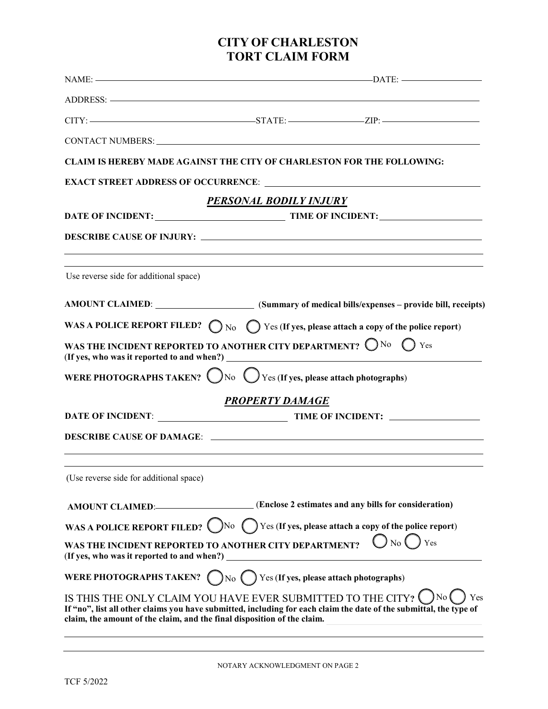## **CITY OF CHARLESTON TORT CLAIM FORM**

|                                                                                                     | $\text{NAME:}$ $\longrightarrow$ $\text{DATE:}$                                                                                                                                                                               |
|-----------------------------------------------------------------------------------------------------|-------------------------------------------------------------------------------------------------------------------------------------------------------------------------------------------------------------------------------|
|                                                                                                     |                                                                                                                                                                                                                               |
|                                                                                                     |                                                                                                                                                                                                                               |
|                                                                                                     | CONTACT NUMBERS: Universe of the Second Second Second Second Second Second Second Second Second Second Second Second Second Second Second Second Second Second Second Second Second Second Second Second Second Second Second |
|                                                                                                     | CLAIM IS HEREBY MADE AGAINST THE CITY OF CHARLESTON FOR THE FOLLOWING:                                                                                                                                                        |
|                                                                                                     |                                                                                                                                                                                                                               |
|                                                                                                     | PERSONAL BODILY INJURY                                                                                                                                                                                                        |
|                                                                                                     | DATE OF INCIDENT: TIME OF INCIDENT:                                                                                                                                                                                           |
|                                                                                                     |                                                                                                                                                                                                                               |
| Use reverse side for additional space)                                                              |                                                                                                                                                                                                                               |
|                                                                                                     | AMOUNT CLAIMED: (Summary of medical bills/expenses - provide bill, receipts)                                                                                                                                                  |
|                                                                                                     | WAS A POLICE REPORT FILED? $\bigcirc$ No $\bigcirc$ Yes (If yes, please attach a copy of the police report)                                                                                                                   |
|                                                                                                     | WAS THE INCIDENT REPORTED TO ANOTHER CITY DEPARTMENT? $\bigcirc$ No $\bigcirc$ Yes                                                                                                                                            |
|                                                                                                     | WERE PHOTOGRAPHS TAKEN? $\bigcirc$ No $\bigcirc$ Yes (If yes, please attach photographs)                                                                                                                                      |
|                                                                                                     | PROPERTY DAMAGE                                                                                                                                                                                                               |
|                                                                                                     |                                                                                                                                                                                                                               |
|                                                                                                     |                                                                                                                                                                                                                               |
| (Use reverse side for additional space)                                                             |                                                                                                                                                                                                                               |
| <b>AMOUNT CLAIMED:</b>                                                                              | (Enclose 2 estimates and any bills for consideration)                                                                                                                                                                         |
|                                                                                                     | WAS A POLICE REPORT FILED? No ( ) Yes (If yes, please attach a copy of the police report)                                                                                                                                     |
| WAS THE INCIDENT REPORTED TO ANOTHER CITY DEPARTMENT?<br>(If yes, who was it reported to and when?) | $\bigcirc$ No (<br>Yes                                                                                                                                                                                                        |
|                                                                                                     | WERE PHOTOGRAPHS TAKEN? $\bigcap$ No $\bigcap$ Yes (If yes, please attach photographs)                                                                                                                                        |
| claim, the amount of the claim, and the final disposition of the claim.                             | ) No (<br>IS THIS THE ONLY CLAIM YOU HAVE EVER SUBMITTED TO THE CITY? $\bigcup$<br>Yes<br>If "no", list all other claims you have submitted, including for each claim the date of the submittal, the type of                  |